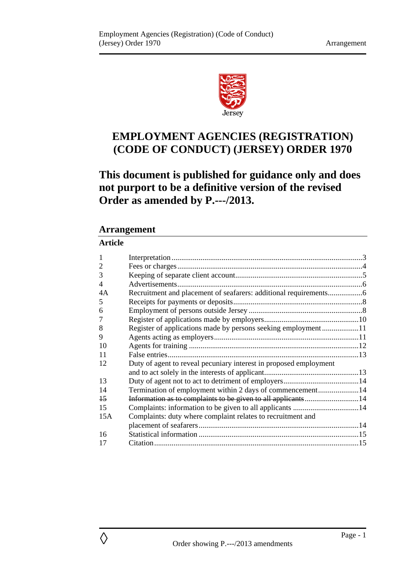

# **EMPLOYMENT AGENCIES (REGISTRATION) (CODE OF CONDUCT) (JERSEY) ORDER 1970**

# **This document is published for guidance only and does not purport to be a definitive version of the revised Order as amended by P.---/2013.**

## **Arrangement**

## **Article**

| 1               |                                                                   |  |
|-----------------|-------------------------------------------------------------------|--|
| 2               |                                                                   |  |
| 3               |                                                                   |  |
| 4               |                                                                   |  |
| 4Α              |                                                                   |  |
| 5               |                                                                   |  |
| 6               |                                                                   |  |
| 7               |                                                                   |  |
| 8               | Register of applications made by persons seeking employment11     |  |
| 9               |                                                                   |  |
| 10              |                                                                   |  |
| 11              |                                                                   |  |
| 12              | Duty of agent to reveal pecuniary interest in proposed employment |  |
|                 |                                                                   |  |
| 13              |                                                                   |  |
| 14              | Termination of employment within 2 days of commencement14         |  |
| $\overline{15}$ |                                                                   |  |
| 15              |                                                                   |  |
| 15A             | Complaints: duty where complaint relates to recruitment and       |  |
|                 |                                                                   |  |
| 16              |                                                                   |  |
| 17              |                                                                   |  |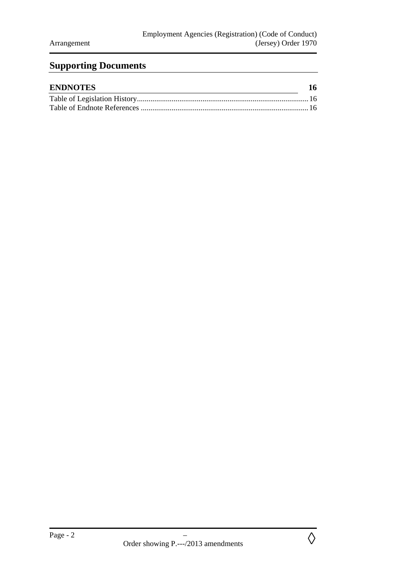# **Supporting Documents**

| <b>ENDNOTES</b> | 16 |
|-----------------|----|
|                 |    |
|                 |    |

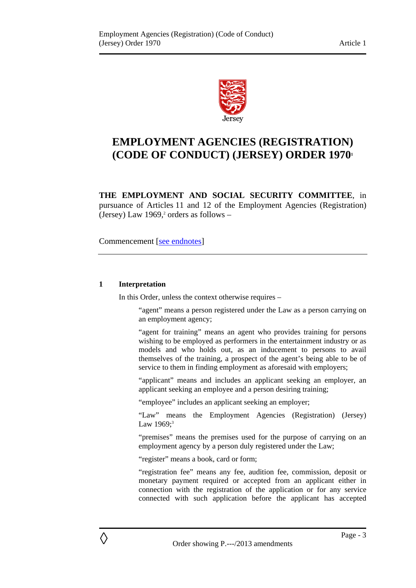

# **EMPLOYMENT AGENCIES (REGISTRATION) (CODE OF CONDUCT) (JERSEY) ORDER 19701**

**THE EMPLOYMENT AND SOCIAL SECURITY COMMITTEE**, in pursuance of Articles 11 and 12 of the Employment Agencies (Registration) (Jersey) Law  $1969$ ,<sup>2</sup> orders as follows -

Commencement [see endnotes]

#### **1 Interpretation**

In this Order, unless the context otherwise requires –

"agent" means a person registered under the Law as a person carrying on an employment agency;

"agent for training" means an agent who provides training for persons wishing to be employed as performers in the entertainment industry or as models and who holds out, as an inducement to persons to avail themselves of the training, a prospect of the agent's being able to be of service to them in finding employment as aforesaid with employers;

"applicant" means and includes an applicant seeking an employer, an applicant seeking an employee and a person desiring training;

"employee" includes an applicant seeking an employer;

"Law" means the Employment Agencies (Registration) (Jersey) Law  $1969$ ;<sup>3</sup>

"premises" means the premises used for the purpose of carrying on an employment agency by a person duly registered under the Law;

"register" means a book, card or form;

"registration fee" means any fee, audition fee, commission, deposit or monetary payment required or accepted from an applicant either in connection with the registration of the application or for any service connected with such application before the applicant has accepted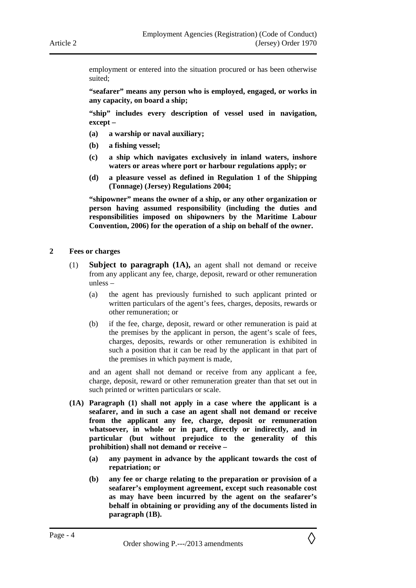employment or entered into the situation procured or has been otherwise suited;

**"seafarer" means any person who is employed, engaged, or works in any capacity, on board a ship;** 

**"ship" includes every description of vessel used in navigation, except –** 

- **(a) a warship or naval auxiliary;**
- **(b) a fishing vessel;**
- **(c) a ship which navigates exclusively in inland waters, inshore waters or areas where port or harbour regulations apply; or**
- **(d) a pleasure vessel as defined in Regulation 1 of the Shipping (Tonnage) (Jersey) Regulations 2004;**

**"shipowner" means the owner of a ship, or any other organization or person having assumed responsibility (including the duties and responsibilities imposed on shipowners by the Maritime Labour Convention, 2006) for the operation of a ship on behalf of the owner.** 

#### **2 Fees or charges**

- (1) **Subject to paragraph (1A),** an agent shall not demand or receive from any applicant any fee, charge, deposit, reward or other remuneration unless –
	- (a) the agent has previously furnished to such applicant printed or written particulars of the agent's fees, charges, deposits, rewards or other remuneration; or
	- (b) if the fee, charge, deposit, reward or other remuneration is paid at the premises by the applicant in person, the agent's scale of fees, charges, deposits, rewards or other remuneration is exhibited in such a position that it can be read by the applicant in that part of the premises in which payment is made,

and an agent shall not demand or receive from any applicant a fee, charge, deposit, reward or other remuneration greater than that set out in such printed or written particulars or scale.

- **(1A) Paragraph (1) shall not apply in a case where the applicant is a seafarer, and in such a case an agent shall not demand or receive from the applicant any fee, charge, deposit or remuneration whatsoever, in whole or in part, directly or indirectly, and in particular (but without prejudice to the generality of this prohibition) shall not demand or receive –** 
	- **(a) any payment in advance by the applicant towards the cost of repatriation; or**
	- **(b) any fee or charge relating to the preparation or provision of a seafarer's employment agreement, except such reasonable cost as may have been incurred by the agent on the seafarer's behalf in obtaining or providing any of the documents listed in paragraph (1B).**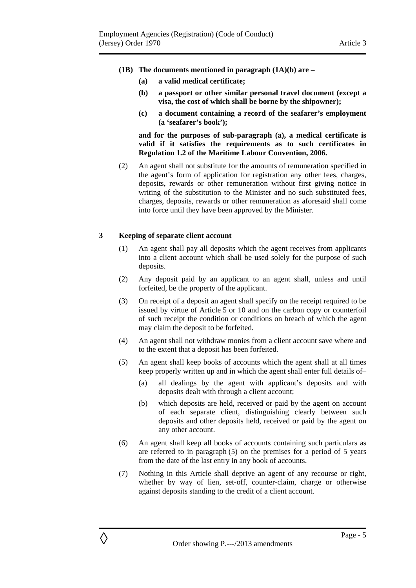- **(1B) The documents mentioned in paragraph (1A)(b) are** 
	- **(a) a valid medical certificate;**
	- **(b) a passport or other similar personal travel document (except a visa, the cost of which shall be borne by the shipowner);**
	- **(c) a document containing a record of the seafarer's employment (a 'seafarer's book');**

**and for the purposes of sub-paragraph (a), a medical certificate is valid if it satisfies the requirements as to such certificates in Regulation 1.2 of the Maritime Labour Convention, 2006.** 

(2) An agent shall not substitute for the amounts of remuneration specified in the agent's form of application for registration any other fees, charges, deposits, rewards or other remuneration without first giving notice in writing of the substitution to the Minister and no such substituted fees, charges, deposits, rewards or other remuneration as aforesaid shall come into force until they have been approved by the Minister.

#### **3 Keeping of separate client account**

- (1) An agent shall pay all deposits which the agent receives from applicants into a client account which shall be used solely for the purpose of such deposits.
- (2) Any deposit paid by an applicant to an agent shall, unless and until forfeited, be the property of the applicant.
- (3) On receipt of a deposit an agent shall specify on the receipt required to be issued by virtue of Article 5 or 10 and on the carbon copy or counterfoil of such receipt the condition or conditions on breach of which the agent may claim the deposit to be forfeited.
- (4) An agent shall not withdraw monies from a client account save where and to the extent that a deposit has been forfeited.
- (5) An agent shall keep books of accounts which the agent shall at all times keep properly written up and in which the agent shall enter full details of–
	- (a) all dealings by the agent with applicant's deposits and with deposits dealt with through a client account;
	- (b) which deposits are held, received or paid by the agent on account of each separate client, distinguishing clearly between such deposits and other deposits held, received or paid by the agent on any other account.
- (6) An agent shall keep all books of accounts containing such particulars as are referred to in paragraph (5) on the premises for a period of 5 years from the date of the last entry in any book of accounts.
- (7) Nothing in this Article shall deprive an agent of any recourse or right, whether by way of lien, set-off, counter-claim, charge or otherwise against deposits standing to the credit of a client account.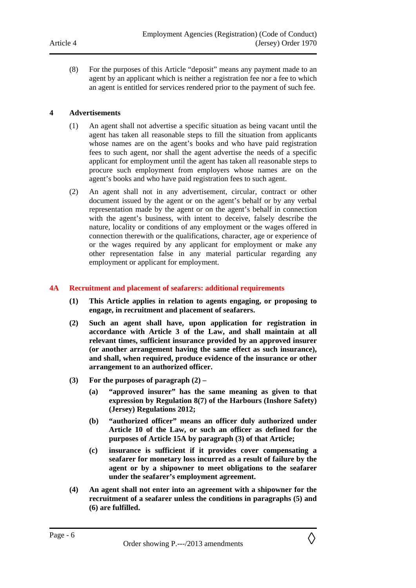(8) For the purposes of this Article "deposit" means any payment made to an agent by an applicant which is neither a registration fee nor a fee to which an agent is entitled for services rendered prior to the payment of such fee.

#### **4 Advertisements**

- (1) An agent shall not advertise a specific situation as being vacant until the agent has taken all reasonable steps to fill the situation from applicants whose names are on the agent's books and who have paid registration fees to such agent, nor shall the agent advertise the needs of a specific applicant for employment until the agent has taken all reasonable steps to procure such employment from employers whose names are on the agent's books and who have paid registration fees to such agent.
- (2) An agent shall not in any advertisement, circular, contract or other document issued by the agent or on the agent's behalf or by any verbal representation made by the agent or on the agent's behalf in connection with the agent's business, with intent to deceive, falsely describe the nature, locality or conditions of any employment or the wages offered in connection therewith or the qualifications, character, age or experience of or the wages required by any applicant for employment or make any other representation false in any material particular regarding any employment or applicant for employment.

#### **4A Recruitment and placement of seafarers: additional requirements**

- **(1) This Article applies in relation to agents engaging, or proposing to engage, in recruitment and placement of seafarers.**
- **(2) Such an agent shall have, upon application for registration in accordance with Article 3 of the Law, and shall maintain at all relevant times, sufficient insurance provided by an approved insurer (or another arrangement having the same effect as such insurance), and shall, when required, produce evidence of the insurance or other arrangement to an authorized officer.**
- **(3) For the purposes of paragraph (2)** 
	- **(a) "approved insurer" has the same meaning as given to that expression by Regulation 8(7) of the Harbours (Inshore Safety) (Jersey) Regulations 2012;**
	- **(b) "authorized officer" means an officer duly authorized under Article 10 of the Law, or such an officer as defined for the purposes of Article 15A by paragraph (3) of that Article;**
	- **(c) insurance is sufficient if it provides cover compensating a seafarer for monetary loss incurred as a result of failure by the agent or by a shipowner to meet obligations to the seafarer under the seafarer's employment agreement.**
- **(4) An agent shall not enter into an agreement with a shipowner for the recruitment of a seafarer unless the conditions in paragraphs (5) and (6) are fulfilled.**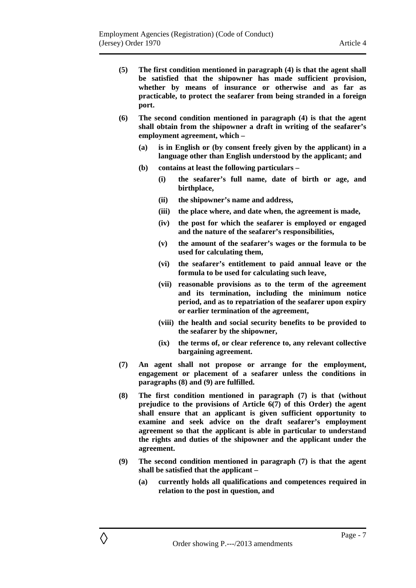- **(5) The first condition mentioned in paragraph (4) is that the agent shall be satisfied that the shipowner has made sufficient provision, whether by means of insurance or otherwise and as far as practicable, to protect the seafarer from being stranded in a foreign port.**
- **(6) The second condition mentioned in paragraph (4) is that the agent shall obtain from the shipowner a draft in writing of the seafarer's employment agreement, which –** 
	- **(a) is in English or (by consent freely given by the applicant) in a language other than English understood by the applicant; and**
	- **(b) contains at least the following particulars** 
		- **(i) the seafarer's full name, date of birth or age, and birthplace,**
		- **(ii) the shipowner's name and address,**
		- **(iii) the place where, and date when, the agreement is made,**
		- **(iv) the post for which the seafarer is employed or engaged and the nature of the seafarer's responsibilities,**
		- **(v) the amount of the seafarer's wages or the formula to be used for calculating them,**
		- **(vi) the seafarer's entitlement to paid annual leave or the formula to be used for calculating such leave,**
		- **(vii) reasonable provisions as to the term of the agreement and its termination, including the minimum notice period, and as to repatriation of the seafarer upon expiry or earlier termination of the agreement,**
		- **(viii) the health and social security benefits to be provided to the seafarer by the shipowner,**
		- **(ix) the terms of, or clear reference to, any relevant collective bargaining agreement.**
- **(7) An agent shall not propose or arrange for the employment, engagement or placement of a seafarer unless the conditions in paragraphs (8) and (9) are fulfilled.**
- **(8) The first condition mentioned in paragraph (7) is that (without prejudice to the provisions of Article 6(7) of this Order) the agent shall ensure that an applicant is given sufficient opportunity to examine and seek advice on the draft seafarer's employment agreement so that the applicant is able in particular to understand the rights and duties of the shipowner and the applicant under the agreement.**
- **(9) The second condition mentioned in paragraph (7) is that the agent shall be satisfied that the applicant –** 
	- **(a) currently holds all qualifications and competences required in relation to the post in question, and**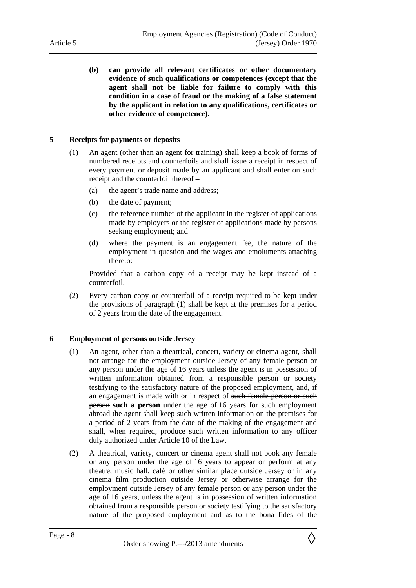**(b) can provide all relevant certificates or other documentary evidence of such qualifications or competences (except that the agent shall not be liable for failure to comply with this condition in a case of fraud or the making of a false statement by the applicant in relation to any qualifications, certificates or other evidence of competence).** 

#### **5 Receipts for payments or deposits**

- (1) An agent (other than an agent for training) shall keep a book of forms of numbered receipts and counterfoils and shall issue a receipt in respect of every payment or deposit made by an applicant and shall enter on such receipt and the counterfoil thereof –
	- (a) the agent's trade name and address;
	- (b) the date of payment;
	- (c) the reference number of the applicant in the register of applications made by employers or the register of applications made by persons seeking employment; and
	- (d) where the payment is an engagement fee, the nature of the employment in question and the wages and emoluments attaching thereto:

Provided that a carbon copy of a receipt may be kept instead of a counterfoil.

(2) Every carbon copy or counterfoil of a receipt required to be kept under the provisions of paragraph (1) shall be kept at the premises for a period of 2 years from the date of the engagement.

#### **6 Employment of persons outside Jersey**

- (1) An agent, other than a theatrical, concert, variety or cinema agent, shall not arrange for the employment outside Jersey of any female person or any person under the age of 16 years unless the agent is in possession of written information obtained from a responsible person or society testifying to the satisfactory nature of the proposed employment, and, if an engagement is made with or in respect of such female person or such person **such a person** under the age of 16 years for such employment abroad the agent shall keep such written information on the premises for a period of 2 years from the date of the making of the engagement and shall, when required, produce such written information to any officer duly authorized under Article 10 of the Law.
- (2) A theatrical, variety, concert or cinema agent shall not book any female or any person under the age of 16 years to appear or perform at any theatre, music hall, café or other similar place outside Jersey or in any cinema film production outside Jersey or otherwise arrange for the employment outside Jersey of any female person or any person under the age of 16 years, unless the agent is in possession of written information obtained from a responsible person or society testifying to the satisfactory nature of the proposed employment and as to the bona fides of the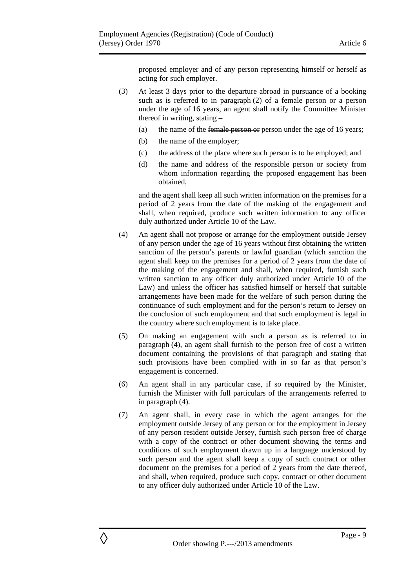proposed employer and of any person representing himself or herself as acting for such employer.

- (3) At least 3 days prior to the departure abroad in pursuance of a booking such as is referred to in paragraph  $(2)$  of a female person or a person under the age of 16 years, an agent shall notify the Committee Minister thereof in writing, stating –
	- (a) the name of the female person or person under the age of 16 years;
	- (b) the name of the employer;
	- (c) the address of the place where such person is to be employed; and
	- (d) the name and address of the responsible person or society from whom information regarding the proposed engagement has been obtained,

and the agent shall keep all such written information on the premises for a period of 2 years from the date of the making of the engagement and shall, when required, produce such written information to any officer duly authorized under Article 10 of the Law.

- (4) An agent shall not propose or arrange for the employment outside Jersey of any person under the age of 16 years without first obtaining the written sanction of the person's parents or lawful guardian (which sanction the agent shall keep on the premises for a period of 2 years from the date of the making of the engagement and shall, when required, furnish such written sanction to any officer duly authorized under Article 10 of the Law) and unless the officer has satisfied himself or herself that suitable arrangements have been made for the welfare of such person during the continuance of such employment and for the person's return to Jersey on the conclusion of such employment and that such employment is legal in the country where such employment is to take place.
- (5) On making an engagement with such a person as is referred to in paragraph (4), an agent shall furnish to the person free of cost a written document containing the provisions of that paragraph and stating that such provisions have been complied with in so far as that person's engagement is concerned.
- (6) An agent shall in any particular case, if so required by the Minister, furnish the Minister with full particulars of the arrangements referred to in paragraph (4).
- (7) An agent shall, in every case in which the agent arranges for the employment outside Jersey of any person or for the employment in Jersey of any person resident outside Jersey, furnish such person free of charge with a copy of the contract or other document showing the terms and conditions of such employment drawn up in a language understood by such person and the agent shall keep a copy of such contract or other document on the premises for a period of 2 years from the date thereof, and shall, when required, produce such copy, contract or other document to any officer duly authorized under Article 10 of the Law.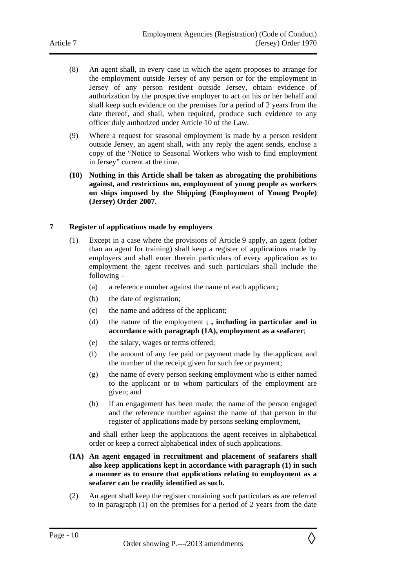- (8) An agent shall, in every case in which the agent proposes to arrange for the employment outside Jersey of any person or for the employment in Jersey of any person resident outside Jersey, obtain evidence of authorization by the prospective employer to act on his or her behalf and shall keep such evidence on the premises for a period of 2 years from the date thereof, and shall, when required, produce such evidence to any officer duly authorized under Article 10 of the Law.
- (9) Where a request for seasonal employment is made by a person resident outside Jersey, an agent shall, with any reply the agent sends, enclose a copy of the "Notice to Seasonal Workers who wish to find employment in Jersey" current at the time.
- **(10) Nothing in this Article shall be taken as abrogating the prohibitions against, and restrictions on, employment of young people as workers on ships imposed by the Shipping (Employment of Young People) (Jersey) Order 2007.**

#### **7 Register of applications made by employers**

- (1) Except in a case where the provisions of Article 9 apply, an agent (other than an agent for training) shall keep a register of applications made by employers and shall enter therein particulars of every application as to employment the agent receives and such particulars shall include the following –
	- (a) a reference number against the name of each applicant;
	- (b) the date of registration;
	- (c) the name and address of the applicant;
	- (d) the nature of the employment ; **, including in particular and in accordance with paragraph (1A), employment as a seafarer**;
	- (e) the salary, wages or terms offered;
	- (f) the amount of any fee paid or payment made by the applicant and the number of the receipt given for such fee or payment;
	- (g) the name of every person seeking employment who is either named to the applicant or to whom particulars of the employment are given; and
	- (h) if an engagement has been made, the name of the person engaged and the reference number against the name of that person in the register of applications made by persons seeking employment,

and shall either keep the applications the agent receives in alphabetical order or keep a correct alphabetical index of such applications.

- **(1A) An agent engaged in recruitment and placement of seafarers shall also keep applications kept in accordance with paragraph (1) in such a manner as to ensure that applications relating to employment as a seafarer can be readily identified as such.**
- (2) An agent shall keep the register containing such particulars as are referred to in paragraph (1) on the premises for a period of 2 years from the date

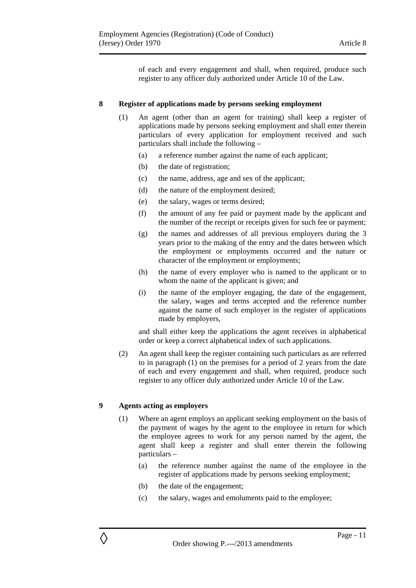of each and every engagement and shall, when required, produce such register to any officer duly authorized under Article 10 of the Law.

#### **8 Register of applications made by persons seeking employment**

- (1) An agent (other than an agent for training) shall keep a register of applications made by persons seeking employment and shall enter therein particulars of every application for employment received and such particulars shall include the following –
	- (a) a reference number against the name of each applicant;
	- (b) the date of registration;
	- (c) the name, address, age and sex of the applicant;
	- (d) the nature of the employment desired;
	- (e) the salary, wages or terms desired;
	- (f) the amount of any fee paid or payment made by the applicant and the number of the receipt or receipts given for such fee or payment;
	- (g) the names and addresses of all previous employers during the 3 years prior to the making of the entry and the dates between which the employment or employments occurred and the nature or character of the employment or employments;
	- (h) the name of every employer who is named to the applicant or to whom the name of the applicant is given; and
	- (i) the name of the employer engaging, the date of the engagement, the salary, wages and terms accepted and the reference number against the name of such employer in the register of applications made by employers,

and shall either keep the applications the agent receives in alphabetical order or keep a correct alphabetical index of such applications.

(2) An agent shall keep the register containing such particulars as are referred to in paragraph (1) on the premises for a period of 2 years from the date of each and every engagement and shall, when required, produce such register to any officer duly authorized under Article 10 of the Law.

#### **9 Agents acting as employers**

- (1) Where an agent employs an applicant seeking employment on the basis of the payment of wages by the agent to the employee in return for which the employee agrees to work for any person named by the agent, the agent shall keep a register and shall enter therein the following particulars –
	- (a) the reference number against the name of the employee in the register of applications made by persons seeking employment;
	- (b) the date of the engagement;
	- (c) the salary, wages and emoluments paid to the employee;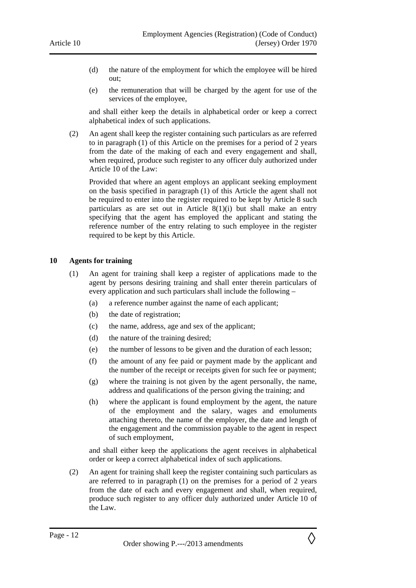- (d) the nature of the employment for which the employee will be hired out;
- (e) the remuneration that will be charged by the agent for use of the services of the employee,

and shall either keep the details in alphabetical order or keep a correct alphabetical index of such applications.

(2) An agent shall keep the register containing such particulars as are referred to in paragraph (1) of this Article on the premises for a period of 2 years from the date of the making of each and every engagement and shall, when required, produce such register to any officer duly authorized under Article 10 of the Law:

Provided that where an agent employs an applicant seeking employment on the basis specified in paragraph (1) of this Article the agent shall not be required to enter into the register required to be kept by Article 8 such particulars as are set out in Article  $8(1)(i)$  but shall make an entry specifying that the agent has employed the applicant and stating the reference number of the entry relating to such employee in the register required to be kept by this Article.

#### **10 Agents for training**

- (1) An agent for training shall keep a register of applications made to the agent by persons desiring training and shall enter therein particulars of every application and such particulars shall include the following –
	- (a) a reference number against the name of each applicant;
	- (b) the date of registration;
	- (c) the name, address, age and sex of the applicant;
	- (d) the nature of the training desired;
	- (e) the number of lessons to be given and the duration of each lesson;
	- (f) the amount of any fee paid or payment made by the applicant and the number of the receipt or receipts given for such fee or payment;
	- (g) where the training is not given by the agent personally, the name, address and qualifications of the person giving the training; and
	- (h) where the applicant is found employment by the agent, the nature of the employment and the salary, wages and emoluments attaching thereto, the name of the employer, the date and length of the engagement and the commission payable to the agent in respect of such employment,

and shall either keep the applications the agent receives in alphabetical order or keep a correct alphabetical index of such applications.

(2) An agent for training shall keep the register containing such particulars as are referred to in paragraph (1) on the premises for a period of 2 years from the date of each and every engagement and shall, when required, produce such register to any officer duly authorized under Article 10 of the Law.

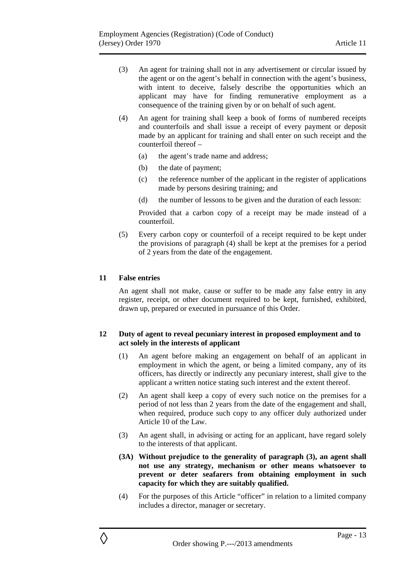- (3) An agent for training shall not in any advertisement or circular issued by the agent or on the agent's behalf in connection with the agent's business, with intent to deceive, falsely describe the opportunities which an applicant may have for finding remunerative employment as a consequence of the training given by or on behalf of such agent.
- (4) An agent for training shall keep a book of forms of numbered receipts and counterfoils and shall issue a receipt of every payment or deposit made by an applicant for training and shall enter on such receipt and the counterfoil thereof –
	- (a) the agent's trade name and address;
	- (b) the date of payment;
	- (c) the reference number of the applicant in the register of applications made by persons desiring training; and
	- (d) the number of lessons to be given and the duration of each lesson:

Provided that a carbon copy of a receipt may be made instead of a counterfoil.

(5) Every carbon copy or counterfoil of a receipt required to be kept under the provisions of paragraph (4) shall be kept at the premises for a period of 2 years from the date of the engagement.

#### **11 False entries**

An agent shall not make, cause or suffer to be made any false entry in any register, receipt, or other document required to be kept, furnished, exhibited, drawn up, prepared or executed in pursuance of this Order.

#### **12 Duty of agent to reveal pecuniary interest in proposed employment and to act solely in the interests of applicant**

- (1) An agent before making an engagement on behalf of an applicant in employment in which the agent, or being a limited company, any of its officers, has directly or indirectly any pecuniary interest, shall give to the applicant a written notice stating such interest and the extent thereof.
- (2) An agent shall keep a copy of every such notice on the premises for a period of not less than 2 years from the date of the engagement and shall, when required, produce such copy to any officer duly authorized under Article 10 of the Law.
- (3) An agent shall, in advising or acting for an applicant, have regard solely to the interests of that applicant.
- **(3A) Without prejudice to the generality of paragraph (3), an agent shall not use any strategy, mechanism or other means whatsoever to prevent or deter seafarers from obtaining employment in such capacity for which they are suitably qualified.**
- (4) For the purposes of this Article "officer" in relation to a limited company includes a director, manager or secretary.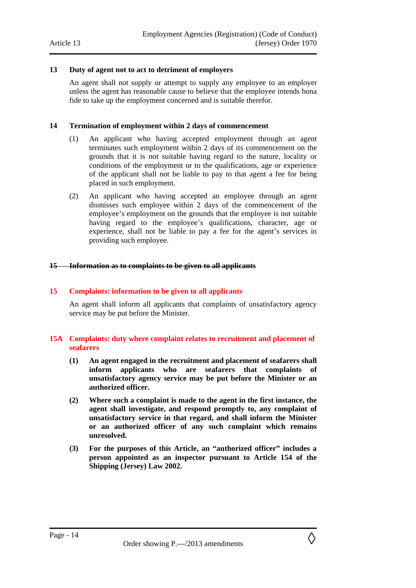#### **13 Duty of agent not to act to detriment of employers**

An agent shall not supply or attempt to supply any employee to an employer unless the agent has reasonable cause to believe that the employee intends bona fide to take up the employment concerned and is suitable therefor.

#### **14 Termination of employment within 2 days of commencement**

- (1) An applicant who having accepted employment through an agent terminates such employment within 2 days of its commencement on the grounds that it is not suitable having regard to the nature, locality or conditions of the employment or to the qualifications, age or experience of the applicant shall not be liable to pay to that agent a fee for being placed in such employment.
- (2) An applicant who having accepted an employee through an agent dismisses such employee within 2 days of the commencement of the employee's employment on the grounds that the employee is not suitable having regard to the employee's qualifications, character, age or experience, shall not be liable to pay a fee for the agent's services in providing such employee.

#### **15 Information as to complaints to be given to all applicants**

#### **15 Complaints: information to be given to all applicants**

An agent shall inform all applicants that complaints of unsatisfactory agency service may be put before the Minister.

#### **15A Complaints: duty where complaint relates to recruitment and placement of seafarers**

- **(1) An agent engaged in the recruitment and placement of seafarers shall inform applicants who are seafarers that complaints of unsatisfactory agency service may be put before the Minister or an authorized officer.**
- **(2) Where such a complaint is made to the agent in the first instance, the agent shall investigate, and respond promptly to, any complaint of unsatisfactory service in that regard, and shall inform the Minister or an authorized officer of any such complaint which remains unresolved.**
- **(3) For the purposes of this Article, an "authorized officer" includes a person appointed as an inspector pursuant to Article 154 of the Shipping (Jersey) Law 2002.**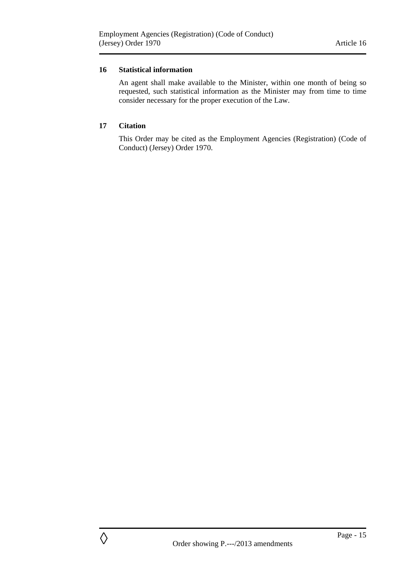#### **16 Statistical information**

An agent shall make available to the Minister, within one month of being so requested, such statistical information as the Minister may from time to time consider necessary for the proper execution of the Law.

#### **17 Citation**

This Order may be cited as the Employment Agencies (Registration) (Code of Conduct) (Jersey) Order 1970.